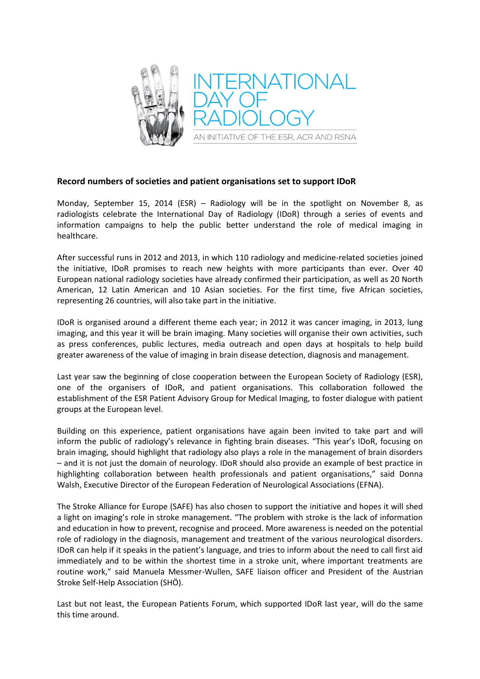

## **Record numbers of societies and patient organisations set to support IDoR**

Monday, September 15, 2014 (ESR) – Radiology will be in the spotlight on November 8, as radiologists celebrate the International Day of Radiology (IDoR) through a series of events and information campaigns to help the public better understand the role of medical imaging in healthcare.

After successful runs in 2012 and 2013, in which 110 radiology and medicine-related societies joined the initiative, IDoR promises to reach new heights with more participants than ever. Over 40 European national radiology societies have already confirmed their participation, as well as 20 North American, 12 Latin American and 10 Asian societies. For the first time, five African societies, representing 26 countries, will also take part in the initiative.

IDoR is organised around a different theme each year; in 2012 it was cancer imaging, in 2013, lung imaging, and this year it will be brain imaging. Many societies will organise their own activities, such as press conferences, public lectures, media outreach and open days at hospitals to help build greater awareness of the value of imaging in brain disease detection, diagnosis and management.

Last year saw the beginning of close cooperation between the European Society of Radiology (ESR), one of the organisers of IDoR, and patient organisations. This collaboration followed the establishment of the ESR Patient Advisory Group for Medical Imaging, to foster dialogue with patient groups at the European level.

Building on this experience, patient organisations have again been invited to take part and will inform the public of radiology's relevance in fighting brain diseases. "This year's IDoR, focusing on brain imaging, should highlight that radiology also plays a role in the management of brain disorders – and it is not just the domain of neurology. IDoR should also provide an example of best practice in highlighting collaboration between health professionals and patient organisations," said Donna Walsh, Executive Director of the European Federation of Neurological Associations (EFNA).

The Stroke Alliance for Europe (SAFE) has also chosen to support the initiative and hopes it will shed a light on imaging's role in stroke management. "The problem with stroke is the lack of information and education in how to prevent, recognise and proceed. More awareness is needed on the potential role of radiology in the diagnosis, management and treatment of the various neurological disorders. IDoR can help if it speaks in the patient's language, and tries to inform about the need to call first aid immediately and to be within the shortest time in a stroke unit, where important treatments are routine work," said Manuela Messmer-Wullen, SAFE liaison officer and President of the Austrian Stroke Self-Help Association (SHÖ).

Last but not least, the European Patients Forum, which supported IDoR last year, will do the same this time around.